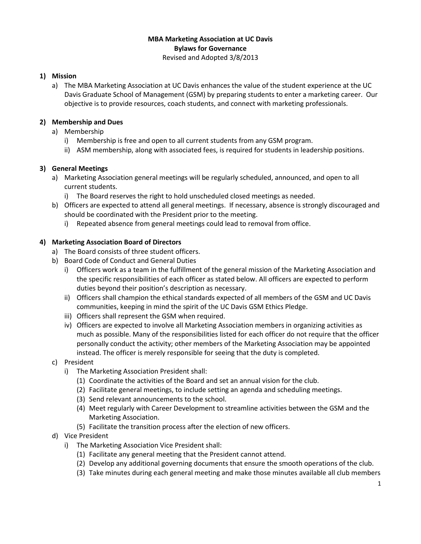## **MBA Marketing Association at UC Davis Bylaws for Governance**  Revised and Adopted 3/8/2013

# **1) Mission**

a) The MBA Marketing Association at UC Davis enhances the value of the student experience at the UC Davis Graduate School of Management (GSM) by preparing students to enter a marketing career. Our objective is to provide resources, coach students, and connect with marketing professionals.

# **2) Membership and Dues**

- a) Membership
	- i) Membership is free and open to all current students from any GSM program.
	- ii) ASM membership, along with associated fees, is required for students in leadership positions.

## **3) General Meetings**

- a) Marketing Association general meetings will be regularly scheduled, announced, and open to all current students.
	- i) The Board reserves the right to hold unscheduled closed meetings as needed.
- b) Officers are expected to attend all general meetings. If necessary, absence is strongly discouraged and should be coordinated with the President prior to the meeting.
	- i) Repeated absence from general meetings could lead to removal from office.

## **4) Marketing Association Board of Directors**

- a) The Board consists of three student officers.
- b) Board Code of Conduct and General Duties
	- i) Officers work as a team in the fulfillment of the general mission of the Marketing Association and the specific responsibilities of each officer as stated below. All officers are expected to perform duties beyond their position's description as necessary.
	- ii) Officers shall champion the ethical standards expected of all members of the GSM and UC Davis communities, keeping in mind the spirit of the UC Davis GSM Ethics Pledge.
	- iii) Officers shall represent the GSM when required.
	- iv) Officers are expected to involve all Marketing Association members in organizing activities as much as possible. Many of the responsibilities listed for each officer do not require that the officer personally conduct the activity; other members of the Marketing Association may be appointed instead. The officer is merely responsible for seeing that the duty is completed.
- c) President
	- i) The Marketing Association President shall:
		- (1) Coordinate the activities of the Board and set an annual vision for the club.
		- (2) Facilitate general meetings, to include setting an agenda and scheduling meetings.
		- (3) Send relevant announcements to the school.
		- (4) Meet regularly with Career Development to streamline activities between the GSM and the Marketing Association.
		- (5) Facilitate the transition process after the election of new officers.
- d) Vice President
	- i) The Marketing Association Vice President shall:
		- (1) Facilitate any general meeting that the President cannot attend.
		- (2) Develop any additional governing documents that ensure the smooth operations of the club.
		- (3) Take minutes during each general meeting and make those minutes available all club members